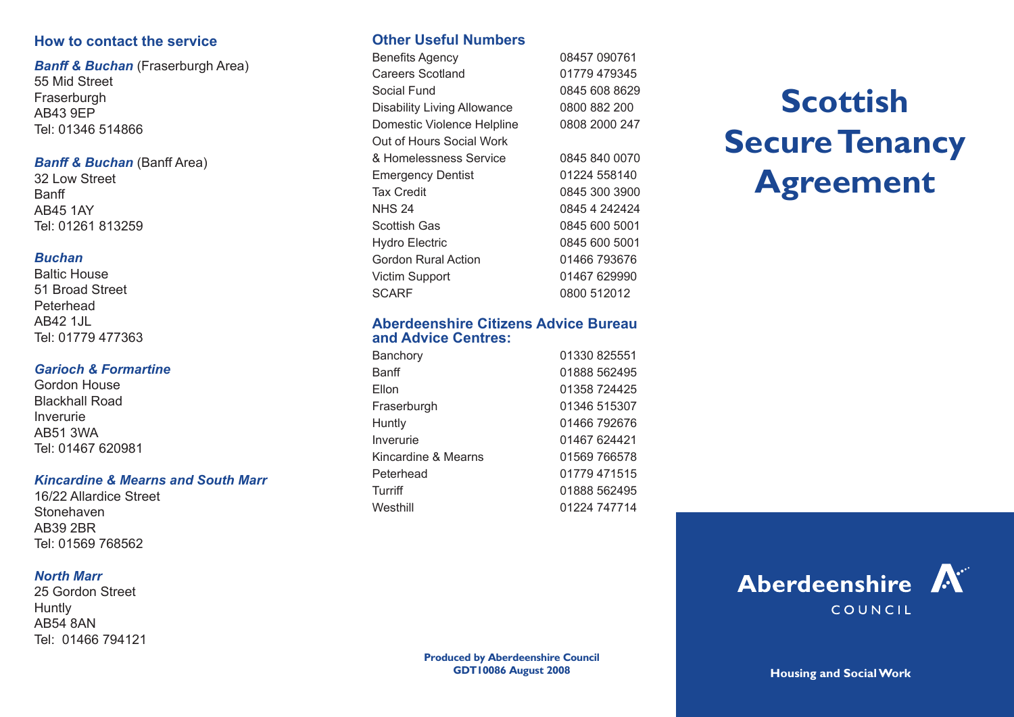# **How to contact the service**

*Banff & Buchan* (Fraserburgh Area) 55 Mid Street **Fraserburgh** AB43 9EP Tel: 01346 514866

#### *Banff & Buchan* (Banff Area)

32 Low Street Banff AB45 1AY Tel: 01261 813259

#### *Buchan*

Baltic House 51 Broad Street Peterhead AR42 1.IL Tel: 01779 477363

#### *Garioch & Formartine*

Gordon House Blackhall Road Inverurie AB51 3WA Tel: 01467 620981

#### *Kincardine & Mearns and South Marr*

16/22 Allardice Street Stonehaven AB39 2BR Tel: 01569 768562

#### *North Marr*

25 Gordon Street **Huntly** AB54 8AN Tel: 01466 794121

# **Other Useful Numbers**

Benefits Agency 08457 090761 Careers Scotland 01779 479345 Social Fund 0845 608 8629 Disability Living Allowance 0800 882 200 Domestic Violence Helpline 0808 2000 247 Out of Hours Social Work & Homelessness Service 0845 840 0070 Emergency Dentist 01224 558140 Tax Credit 0845 300 3900 NHS 24 0845 4 242424 Scottish Gas 0845 600 5001 Hydro Electric 0845 600 5001 Gordon Rural Action 01466 793676 Victim Support 01467 629990 SCARF 0800 512012

## **Aberdeenshire Citizens Advice Bureau and Advice Centres:**

| 01330 825551 |
|--------------|
| 01888 562495 |
| 01358 724425 |
| 01346 515307 |
| 01466 792676 |
| 01467 624421 |
| 01569 766578 |
| 01779 471515 |
| 01888 562495 |
| 01224 747714 |
|              |

# **Scottish Secure Tenancy Agreement**

**Produced by Aberdeenshire Council GDT10086 August 2008 Housing and Social Work**

Aberdeenshire A

COUNCIL